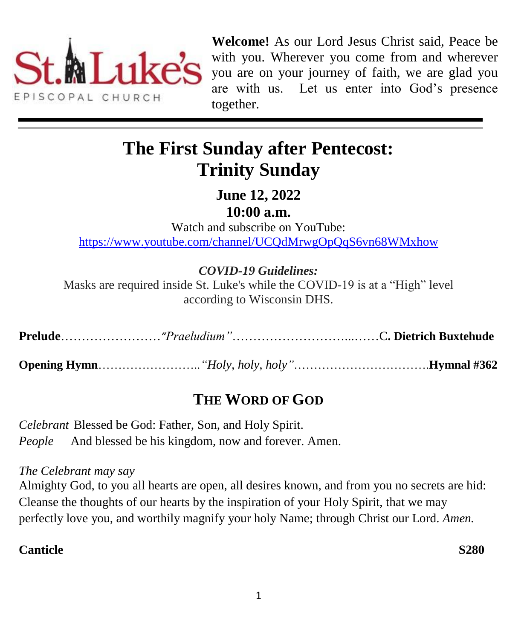

**Welcome!** As our Lord Jesus Christ said, Peace be with you. Wherever you come from and wherever you are on your journey of faith, we are glad you are with us. Let us enter into God's presence together.

# **The First Sunday after Pentecost: Trinity Sunday**

**June 12, 2022 10:00 a.m.**

Watch and subscribe on YouTube: <https://www.youtube.com/channel/UCQdMrwgOpQqS6vn68WMxhow>

# *COVID-19 Guidelines:*

Masks are required inside St. Luke's while the COVID-19 is at a "High" level according to Wisconsin DHS.

|--|--|--|--|

**Opening Hymn**……………………..*"Holy, holy, holy"*…………………………….**Hymnal #362**

# **THE WORD OF GOD**

*Celebrant* Blessed be God: Father, Son, and Holy Spirit. *People* And blessed be his kingdom, now and forever. Amen.

#### *The Celebrant may say*

Almighty God, to you all hearts are open, all desires known, and from you no secrets are hid: Cleanse the thoughts of our hearts by the inspiration of your Holy Spirit, that we may perfectly love you, and worthily magnify your holy Name; through Christ our Lord. *Amen.*

# **Canticle S280**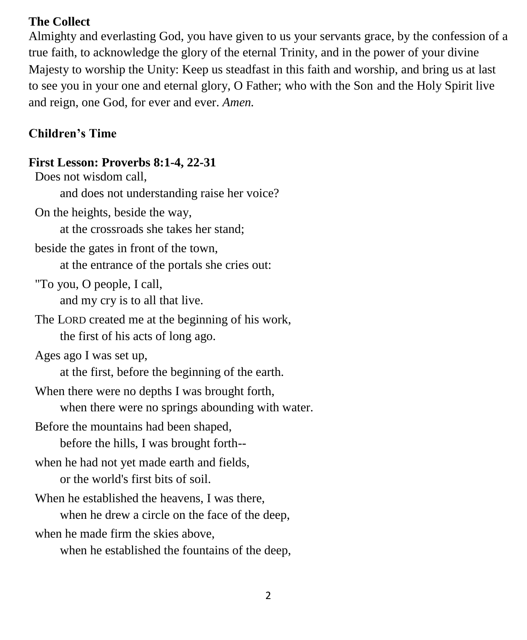#### **The Collect**

Almighty and everlasting God, you have given to us your servants grace, by the confession of a true faith, to acknowledge the glory of the eternal Trinity, and in the power of your divine Majesty to worship the Unity: Keep us steadfast in this faith and worship, and bring us at last to see you in your one and eternal glory, O Father; who with the Son and the Holy Spirit live and reign, one God, for ever and ever. *Amen.*

## **Children's Time**

# **First Lesson: Proverbs 8:1-4, 22-31**

Does not wisdom call, and does not understanding raise her voice? On the heights, beside the way, at the crossroads she takes her stand; beside the gates in front of the town, at the entrance of the portals she cries out: "To you, O people, I call, and my cry is to all that live. The LORD created me at the beginning of his work, the first of his acts of long ago. Ages ago I was set up, at the first, before the beginning of the earth. When there were no depths I was brought forth, when there were no springs abounding with water. Before the mountains had been shaped, before the hills, I was brought forth- when he had not yet made earth and fields, or the world's first bits of soil. When he established the heavens, I was there, when he drew a circle on the face of the deep, when he made firm the skies above, when he established the fountains of the deep,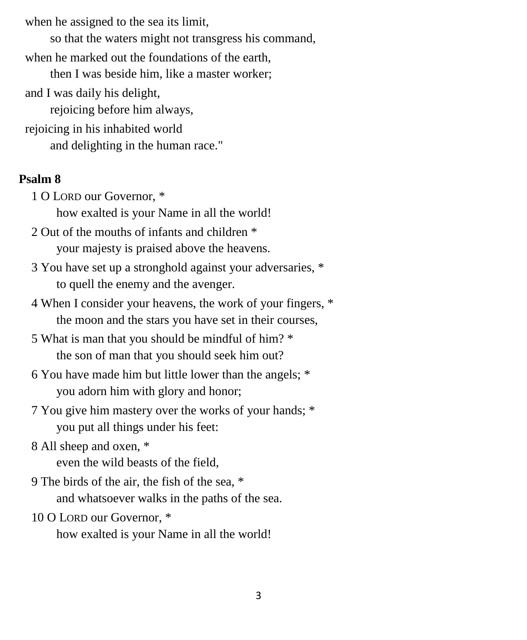when he assigned to the sea its limit,

so that the waters might not transgress his command,

when he marked out the foundations of the earth,

then I was beside him, like a master worker;

and I was daily his delight,

rejoicing before him always,

rejoicing in his inhabited world

and delighting in the human race."

## **Psalm 8**

1 O LORD our Governor, \*

how exalted is your Name in all the world!

- 2 Out of the mouths of infants and children \* your majesty is praised above the heavens.
- 3 You have set up a stronghold against your adversaries, \* to quell the enemy and the avenger.
- 4 When I consider your heavens, the work of your fingers, \* the moon and the stars you have set in their courses,
- 5 What is man that you should be mindful of him? \* the son of man that you should seek him out?
- 6 You have made him but little lower than the angels; \* you adorn him with glory and honor;
- 7 You give him mastery over the works of your hands; \* you put all things under his feet:
- 8 All sheep and oxen, \*

even the wild beasts of the field,

- 9 The birds of the air, the fish of the sea, \* and whatsoever walks in the paths of the sea.
- 10 O LORD our Governor, \* how exalted is your Name in all the world!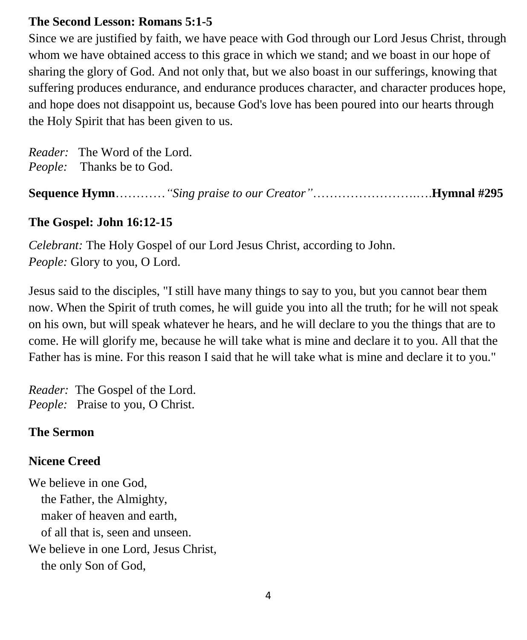#### **The Second Lesson: Romans 5:1-5**

Since we are justified by faith, we have peace with God through our Lord Jesus Christ, through whom we have obtained access to this grace in which we stand; and we boast in our hope of sharing the glory of God. And not only that, but we also boast in our sufferings, knowing that suffering produces endurance, and endurance produces character, and character produces hope, and hope does not disappoint us, because God's love has been poured into our hearts through the Holy Spirit that has been given to us.

*Reader:* The Word of the Lord. *People:* Thanks be to God.

**Sequence Hymn**…………*"Sing praise to our Creator"*…………………….….**Hymnal #295**

#### **The Gospel: John 16:12-15**

*Celebrant:* The Holy Gospel of our Lord Jesus Christ, according to John. *People:* Glory to you, O Lord.

Jesus said to the disciples, "I still have many things to say to you, but you cannot bear them now. When the Spirit of truth comes, he will guide you into all the truth; for he will not speak on his own, but will speak whatever he hears, and he will declare to you the things that are to come. He will glorify me, because he will take what is mine and declare it to you. All that the Father has is mine. For this reason I said that he will take what is mine and declare it to you."

*Reader:* The Gospel of the Lord. *People:* Praise to you, O Christ.

#### **The Sermon**

#### **Nicene Creed**

We believe in one God, the Father, the Almighty, maker of heaven and earth, of all that is, seen and unseen. We believe in one Lord, Jesus Christ, the only Son of God,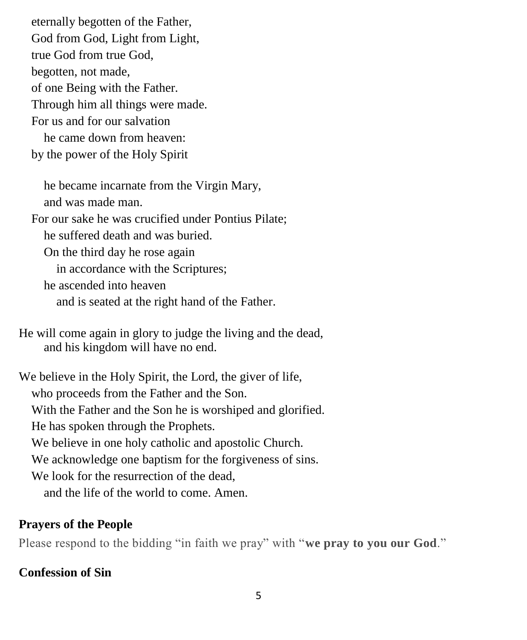eternally begotten of the Father, God from God, Light from Light, true God from true God, begotten, not made, of one Being with the Father. Through him all things were made. For us and for our salvation he came down from heaven: by the power of the Holy Spirit

 he became incarnate from the Virgin Mary, and was made man. For our sake he was crucified under Pontius Pilate; he suffered death and was buried. On the third day he rose again in accordance with the Scriptures; he ascended into heaven and is seated at the right hand of the Father.

He will come again in glory to judge the living and the dead, and his kingdom will have no end.

We believe in the Holy Spirit, the Lord, the giver of life, who proceeds from the Father and the Son. With the Father and the Son he is worshiped and glorified. He has spoken through the Prophets. We believe in one holy catholic and apostolic Church. We acknowledge one baptism for the forgiveness of sins. We look for the resurrection of the dead. and the life of the world to come. Amen.

#### **Prayers of the People**

Please respond to the bidding "in faith we pray" with "**we pray to you our God**."

## **Confession of Sin**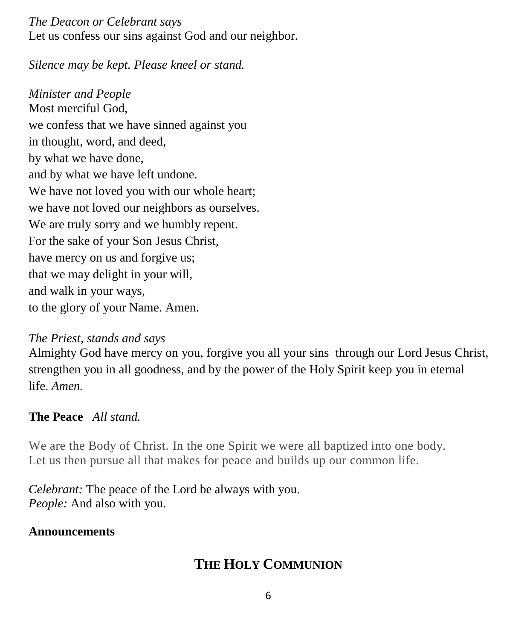#### *The Deacon or Celebrant says*

Let us confess our sins against God and our neighbor.

*Silence may be kept. Please kneel or stand.* 

*Minister and People* Most merciful God, we confess that we have sinned against you in thought, word, and deed, by what we have done, and by what we have left undone. We have not loved you with our whole heart; we have not loved our neighbors as ourselves. We are truly sorry and we humbly repent. For the sake of your Son Jesus Christ, have mercy on us and forgive us; that we may delight in your will, and walk in your ways, to the glory of your Name. Amen.

#### *The Priest, stands and says*

Almighty God have mercy on you, forgive you all your sins through our Lord Jesus Christ, strengthen you in all goodness, and by the power of the Holy Spirit keep you in eternal life. *Amen.*

# **The Peace** *All stand.*

We are the Body of Christ. In the one Spirit we were all baptized into one body. Let us then pursue all that makes for peace and builds up our common life.

*Celebrant:* The peace of the Lord be always with you. *People:* And also with you.

## **Announcements**

# **THE HOLY COMMUNION**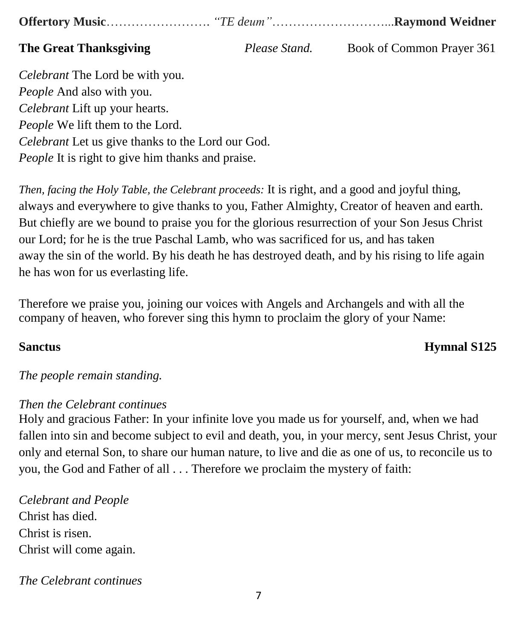**Offertory Music**……………………. *"TE deum"*………………………...**Raymond Weidner**

**The Great Thanksgiving** *Please Stand.* Book of Common Prayer 361

*Celebrant* The Lord be with you. *People* And also with you. *Celebrant* Lift up your hearts. *People* We lift them to the Lord. *Celebrant* Let us give thanks to the Lord our God. *People* It is right to give him thanks and praise.

*Then, facing the Holy Table, the Celebrant proceeds:* It is right, and a good and joyful thing, always and everywhere to give thanks to you, Father Almighty, Creator of heaven and earth. But chiefly are we bound to praise you for the glorious resurrection of your Son Jesus Christ our Lord; for he is the true Paschal Lamb, who was sacrificed for us, and has taken away the sin of the world. By his death he has destroyed death, and by his rising to life again he has won for us everlasting life.

Therefore we praise you, joining our voices with Angels and Archangels and with all the company of heaven, who forever sing this hymn to proclaim the glory of your Name:

## **Sanctus Hymnal S125**

## *The people remain standing.*

#### *Then the Celebrant continues*

Holy and gracious Father: In your infinite love you made us for yourself, and, when we had fallen into sin and become subject to evil and death, you, in your mercy, sent Jesus Christ, your only and eternal Son, to share our human nature, to live and die as one of us, to reconcile us to you, the God and Father of all . . . Therefore we proclaim the mystery of faith:

*Celebrant and People* Christ has died. Christ is risen. Christ will come again.

*The Celebrant continues*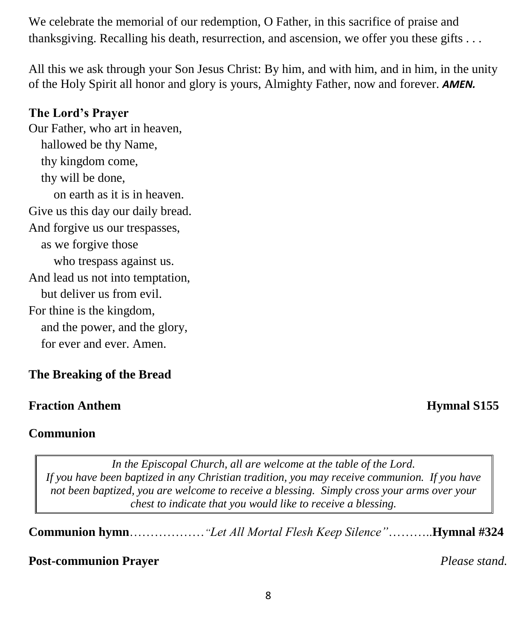We celebrate the memorial of our redemption, O Father, in this sacrifice of praise and thanksgiving. Recalling his death, resurrection, and ascension, we offer you these gifts . . .

All this we ask through your Son Jesus Christ: By him, and with him, and in him, in the unity of the Holy Spirit all honor and glory is yours, Almighty Father, now and forever. *AMEN.*

#### **The Lord's Prayer**

Our Father, who art in heaven, hallowed be thy Name, thy kingdom come, thy will be done, on earth as it is in heaven. Give us this day our daily bread. And forgive us our trespasses, as we forgive those who trespass against us. And lead us not into temptation, but deliver us from evil. For thine is the kingdom, and the power, and the glory, for ever and ever. Amen.

## **The Breaking of the Bread**

#### **Fraction Anthem Hymnal S155**

#### **Communion**

*In the Episcopal Church, all are welcome at the table of the Lord. If you have been baptized in any Christian tradition, you may receive communion. If you have not been baptized, you are welcome to receive a blessing. Simply cross your arms over your chest to indicate that you would like to receive a blessing.*

**Communion hymn**………………*"Let All Mortal Flesh Keep Silence"*………..**Hymnal #324**

#### **Post-communion Prayer** *Please stand.*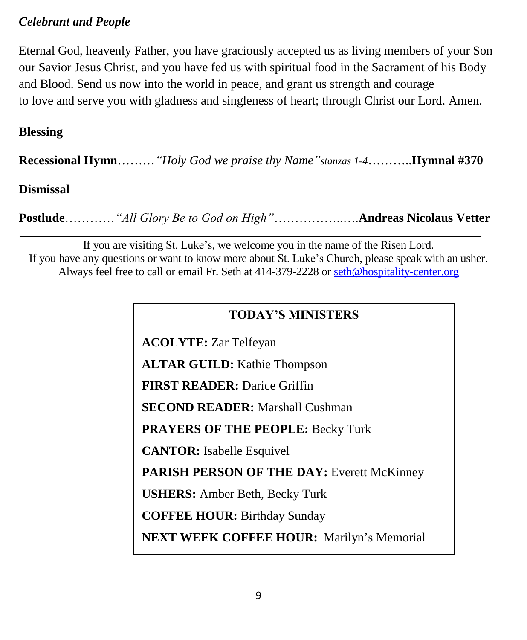## *Celebrant and People*

Eternal God, heavenly Father, you have graciously accepted us as living members of your Son our Savior Jesus Christ, and you have fed us with spiritual food in the Sacrament of his Body and Blood. Send us now into the world in peace, and grant us strength and courage to love and serve you with gladness and singleness of heart; through Christ our Lord. Amen.

### **Blessing**

**Recessional Hymn**………*"Holy God we praise thy Name"stanzas 1-4*………..**Hymnal #370**

#### **Dismissal**

**Postlude**…………*"All Glory Be to God on High"*……………..….**Andreas Nicolaus Vetter**

If you are visiting St. Luke's, we welcome you in the name of the Risen Lord. If you have any questions or want to know more about St. Luke's Church, please speak with an usher. Always feel free to call or email Fr. Seth at 414-379-2228 or [seth@hospitality-center.org](mailto:seth@hospitality-center.org)

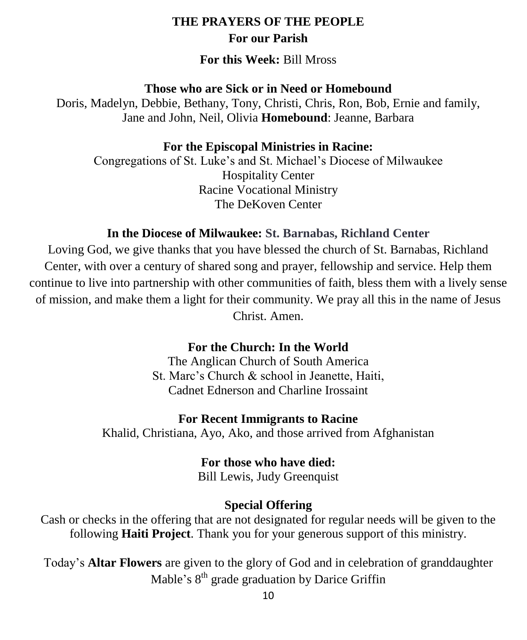#### **THE PRAYERS OF THE PEOPLE For our Parish**

#### **For this Week:** Bill Mross

#### **Those who are Sick or in Need or Homebound**

Doris, Madelyn, Debbie, Bethany, Tony, Christi, Chris, Ron, Bob, Ernie and family, Jane and John, Neil, Olivia **Homebound**: Jeanne, Barbara

#### **For the Episcopal Ministries in Racine:**

Congregations of St. Luke's and St. Michael's Diocese of Milwaukee Hospitality Center Racine Vocational Ministry The DeKoven Center

#### **In the Diocese of Milwaukee: St. Barnabas, Richland Center**

Loving God, we give thanks that you have blessed the church of St. Barnabas, Richland Center, with over a century of shared song and prayer, fellowship and service. Help them continue to live into partnership with other communities of faith, bless them with a lively sense of mission, and make them a light for their community. We pray all this in the name of Jesus Christ. Amen.

#### **For the Church: In the World**

The Anglican Church of South America St. Marc's Church & school in Jeanette, Haiti, Cadnet Ednerson and Charline Irossaint

#### **For Recent Immigrants to Racine**

Khalid, Christiana, Ayo, Ako, and those arrived from Afghanistan

#### **For those who have died:**

Bill Lewis, Judy Greenquist

#### **Special Offering**

Cash or checks in the offering that are not designated for regular needs will be given to the following **Haiti Project**. Thank you for your generous support of this ministry.

Today's **Altar Flowers** are given to the glory of God and in celebration of granddaughter Mable's 8<sup>th</sup> grade graduation by Darice Griffin